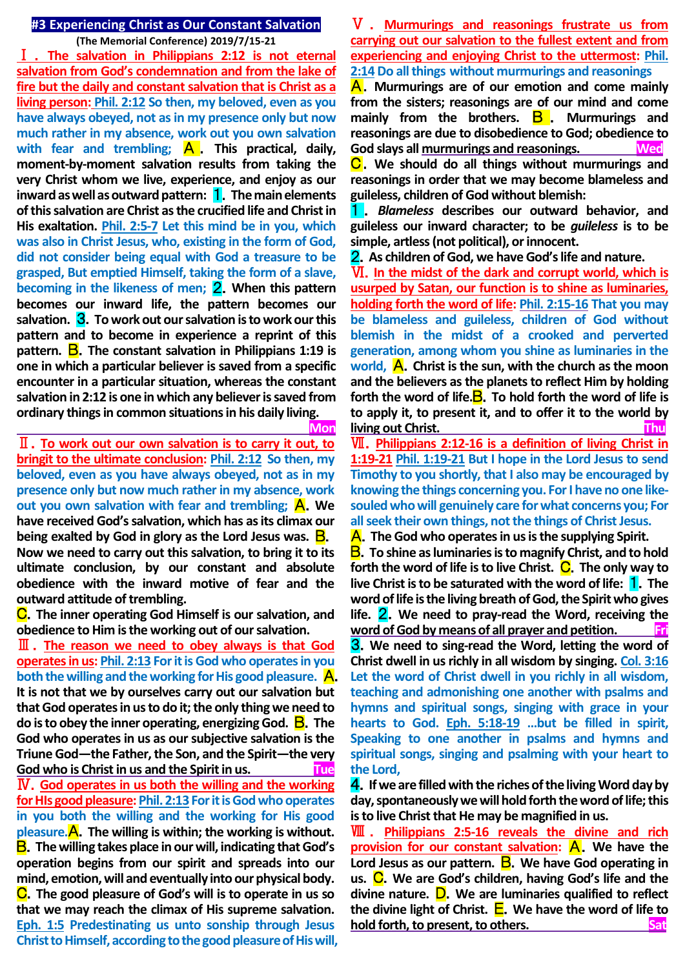### **#3 Experiencing Christ as Our Constant Salvation**

**(The Memorial Conference) 2019/7/15-21**

Ⅰ . **The salvation in Philippians 2:12 is not eternal salvation from God's condemnation and from the lake of fire but the daily and constant salvation that is Christ as a living person: Phil. 2:12 So then, my beloved, even as you have always obeyed, not as in my presence only but now much rather in my absence, work out you own salvation**  with fear and trembling;  $\mathsf{A}$ . This practical, daily, **moment-by-moment salvation results from taking the very Christ whom we live, experience, and enjoy as our inward as well as outward pattern:** 1.**The main elements of this salvation are Christ as the crucified life and Christ in His exaltation. Phil. 2:5-7 Let this mind be in you, which was also in Christ Jesus, who, existing in the form of God, did not consider being equal with God a treasure to be grasped, But emptied Himself, taking the form of a slave, becoming in the likeness of men;** 2.**When this pattern becomes our inward life, the pattern becomes our salvation.** 3.**To work out our salvation is to work our this pattern and to become in experience a reprint of this pattern. B**. The constant salvation in Philippians 1:19 is **one in which a particular believer is saved from a specific encounter in a particular situation, whereas the constant salvation in 2:12 is one in which any believer is saved from ordinary things in common situations in his daily living.**

 **Mon**

Ⅱ.**To work out our own salvation is to carry it out, to bringit to the ultimate conclusion: Phil. 2:12 So then, my beloved, even as you have always obeyed, not as in my presence only but now much rather in my absence, work out you own salvation with fear and trembling; A. We have received God's salvation, which has as its climax our being exalted by God in glory as the Lord Jesus was.** B. **Now we need to carry out this salvation, to bring it to its ultimate conclusion, by our constant and absolute obedience with the inward motive of fear and the outward attitude of trembling.**

C.**The inner operating God Himself is our salvation, and obedience to Him is the working out of our salvation.**

Ⅲ.**The reason we need to obey always is that God operates in us: Phil. 2:13 For it is God who operates in you both the willing and the working for His good pleasure.** A. **It is not that we by ourselves carry out our salvation but that God operates in us to do it; the only thing we need to do is to obey the inner operating, energizing God.** B.**The God who operates in us as our subjective salvation is the Triune God—the Father, the Son, and the Spirit—the very God who is Christ in us and the Spirit in us. Tue** Ⅳ.**God operates in us both the willing and the working for HIs good pleasure: Phil. 2:13 For it is God who operates in you both the willing and the working for His good pleasure.**A.**The willing is within; the working is without.**  B.**The willing takes place in our will, indicating that God's operation begins from our spirit and spreads into our mind, emotion, will and eventually into our physical body.**  C.**The good pleasure of God's will is to operate in us so that we may reach the climax of His supreme salvation. Eph. 1:5 Predestinating us unto sonship through Jesus Christ to Himself, according to the good pleasure of His will,**

# Ⅴ . **Murmurings and reasonings frustrate us from carrying out our salvation to the fullest extent and from experiencing and enjoying Christ to the uttermost: Phil. 2:14Do all things without murmurings and reasonings**

A.**Murmurings are of our emotion and come mainly from the sisters; reasonings are of our mind and come mainly from the brothers.** B . **Murmurings and reasonings are due to disobedience to God; obedience to God slays all murmurings and reasonings. Wed**

C.**We should do all things without murmurings and reasonings in order that we may become blameless and guileless, children of God without blemish:** 

1 . *Blameless* **describes our outward behavior, and guileless our inward character; to be** *guileless* **is to be simple, artless (not political), or innocent.** 

2.**As children of God, we have God's life and nature.**

Ⅵ.**In the midst of the dark and corrupt world, which is usurped by Satan, our function is to shine as luminaries, holding forth the word of life: Phil. 2:15-16 That you may be blameless and guileless, children of God without blemish in the midst of a crooked and perverted generation, among whom you shine as luminaries in the world,** A.**Christ is the sun, with the church as the moon**  and the believers as the planets to reflect Him by holding **forth the word of life.**B.**To hold forth the word of life is to apply it, to present it, and to offer it to the world by living out Christ. Thu**

Ⅶ.**Philippians 2:12-16 is a definition of living Christ in 1:19-21 Phil. 1:19-21 But I hope in the Lord Jesus to send Timothy to you shortly, that I also may be encouraged by knowing the things concerning you. For I have no one likesouled who will genuinely care for what concerns you; For all seek their own things, not the things of Christ Jesus.**

A.**The God who operates in us is the supplying Spirit.**

B.**To shine as luminaries is to magnify Christ, and to hold forth the word of life is to live Christ. C.** The only way to **live Christ is to be saturated with the word of life:** 1.**The word of life is the living breath of God, the Spirit who gives life.** 2.**We need to pray-read the Word, receiving the word of God by means of all prayer and petition. Fri**

3.**We need to sing-read the Word, letting the word of Christ dwell in us richly in all wisdom by singing. Col. 3:16 Let the word of Christ dwell in you richly in all wisdom, teaching and admonishing one another with psalms and hymns and spiritual songs, singing with grace in your hearts to God. Eph. 5:18-19 …but be filled in spirit, Speaking to one another in psalms and hymns and spiritual songs, singing and psalming with your heart to the Lord,** 

4.**If we are filled with the riches of the living Word day by day,spontaneously we will hold forth the word of life; this is to live Christ that He may be magnified in us.**

Ⅷ . **Philippians 2:5-16 reveals the divine and rich provision for our constant salvation: A.** We have the **Lord Jesus as our pattern.** B.**We have God operating in us.** C.**We are God's children, having God's life and the divine nature.** D.**We are luminaries qualified to reflect the divine light of Christ.** E.**We have the word of life to hold forth, to present, to others.** The same states of the satisfactured states of the same states of the same states of the same states of the same states of the same states of the same states of the same states of the s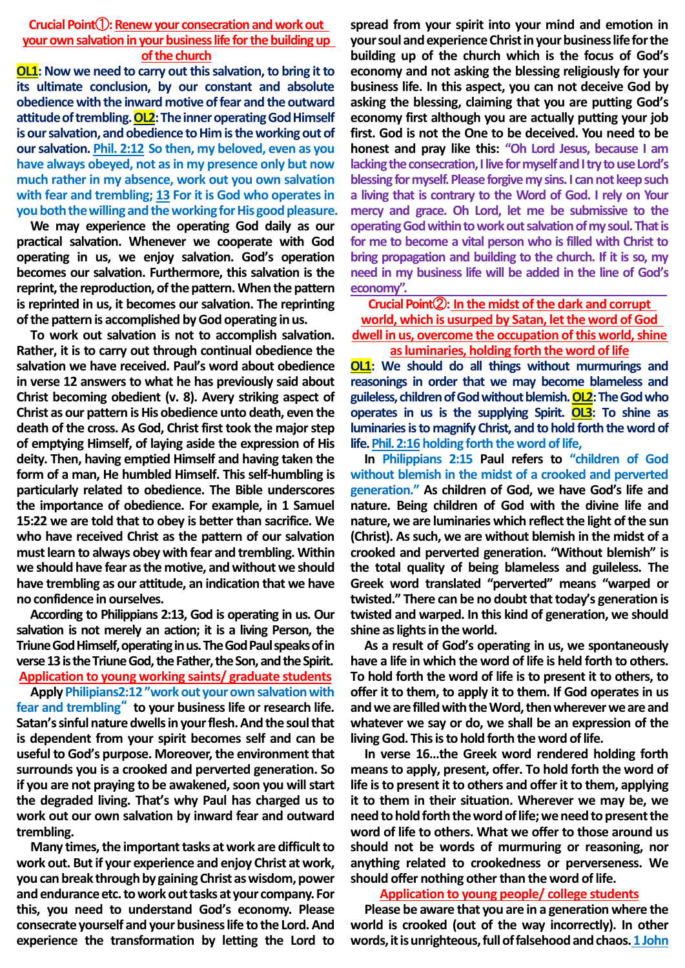# **Crucial Point**(1): Renew your consecration and work out **your own salvation in your business life for the building up of the church**

**OL1: Now we need to carry out this salvation, to bring it to its ultimate conclusion, by our constant and absolute obedience with the inward motive of fear and the outward attitude of trembling. OL2:The inner operating God Himself is our salvation, and obedience to Him is the working out of our salvation. Phil. 2:12 So then, my beloved, even as you have always obeyed, not as in my presence only but now much rather in my absence, work out you own salvation with fear and trembling; 13 For it is God who operates in you both the willing and the working for His good pleasure.**

**We may experience the operating God daily as our practical salvation. Whenever we cooperate with God operating in us, we enjoy salvation. God's operation becomes our salvation. Furthermore, this salvation is the reprint, the reproduction, of the pattern. When the pattern is reprinted in us, it becomes our salvation. The reprinting of the pattern is accomplished by God operating in us.** 

**To work out salvation is not to accomplish salvation. Rather, it is to carry out through continual obedience the salvation we have received. Paul's word about obedience in verse 12 answers to what he has previously said about Christ becoming obedient (v. 8). Avery striking aspect of Christ as our pattern is His obedience unto death, even the death of the cross. As God, Christ first took the major step of emptying Himself, of laying aside the expression of His deity. Then, having emptied Himself and having taken the form of a man, He humbled Himself. This self-humbling is particularly related to obedience. The Bible underscores the importance of obedience. For example, in 1 Samuel 15:22 we are told that to obey is better than sacrifice. We who have received Christ as the pattern of our salvation must learn to always obey with fear and trembling. Within we should have fear as the motive, and without we should have trembling as our attitude, an indication that we have no confidence in ourselves.**

**According to Philippians 2:13, God is operating in us. Our salvation is not merely an action; it is a living Person, the Triune God Himself, operating in us. The God Paul speaks of in verse 13 is the Triune God, the Father, the Son, and the Spirit. Application to young working saints/ graduate students**

**Apply Philipians2:12 "work out your own salvation with fear and trembling**" **to your business life or research life. Satan's sinful nature dwells in your flesh. And the soul that is dependent from your spirit becomes self and can be useful to God's purpose. Moreover, the environment that surrounds you is a crooked and perverted generation. So if you are not praying to be awakened, soon you will start the degraded living. That's why Paul has charged us to work out our own salvation by inward fear and outward trembling.**

**Many times, the important tasks at work are difficult to work out. But if your experience and enjoy Christ at work, you can break through by gaining Christ as wisdom, power and endurance etc. to work out tasks at your company. For this, you need to understand God's economy. Please consecrate yourself and your business life to the Lord. And experience the transformation by letting the Lord to**  **spread from your spirit into your mind and emotion in your soul and experience Christ in your business life for the building up of the church which is the focus of God's economy and not asking the blessing religiously for your business life. In this aspect, you can not deceive God by asking the blessing, claiming that you are putting God's economy first although you are actually putting your job first. God is not the One to be deceived. You need to be honest and pray like this: "Oh Lord Jesus, because I am lacking the consecration, I live for myself and I try to use Lord's blessing for myself. Please forgive my sins. I cannot keep such a living that is contrary to the Word of God. I rely on Your mercy and grace. Oh Lord, let me be submissive to the operating God within to work out salvation of my soul. That is for me to become a vital person who is filled with Christ to bring propagation and building to the church. If it is so, my need in my business life will be added in the line of God's economy".**

**Crucial Point**②**: In the midst of the dark and corrupt world, which is usurped by Satan, let the word of God dwell in us, overcome the occupation of this world, shine as luminaries, holding forth the word of life**

**OL1: We should do all things without murmurings and reasonings in order that we may become blameless and guileless, children of God without blemish. OL2: The God who operates in us is the supplying Spirit. OL3: To shine as luminaries is to magnify Christ, and to hold forth the word of life. Phil. 2:16 holding forth the word of life,**

**In Philippians 2:15 Paul refers to "children of God without blemish in the midst of a crooked and perverted generation." As children of God, we have God's life and nature. Being children of God with the divine life and nature, we are luminaries which reflect the light of the sun (Christ). As such, we are without blemish in the midst of a crooked and perverted generation. "Without blemish" is the total quality of being blameless and guileless. The Greek word translated "perverted" means "warped or twisted." There can be no doubt that today's generation is twisted and warped. In this kind of generation, we should shine as lights in the world.**

**As a result of God's operating in us, we spontaneously have a life in which the word of life is held forth to others. To hold forth the word of life is to present it to others, to offer it to them, to apply it to them. If God operates in us and we are filled with the Word, then wherever we are and whatever we say or do, we shall be an expression of the living God. This is to hold forth the word of life.**

**In verse 16…the Greek word rendered holding forth means to apply, present, offer. To hold forth the word of life is to present it to others and offer it to them, applying it to them in their situation. Wherever we may be, we need to hold forth the word of life; we need to present the word of life to others. What we offer to those around us should not be words of murmuring or reasoning, nor anything related to crookedness or perverseness. We should offer nothing other than the word of life.**

#### **Application to young people/ college students**

**Please be aware that you are in a generation where the world is crooked (out of the way incorrectly). In other words, it is unrighteous, full of falsehood and chaos.1 John**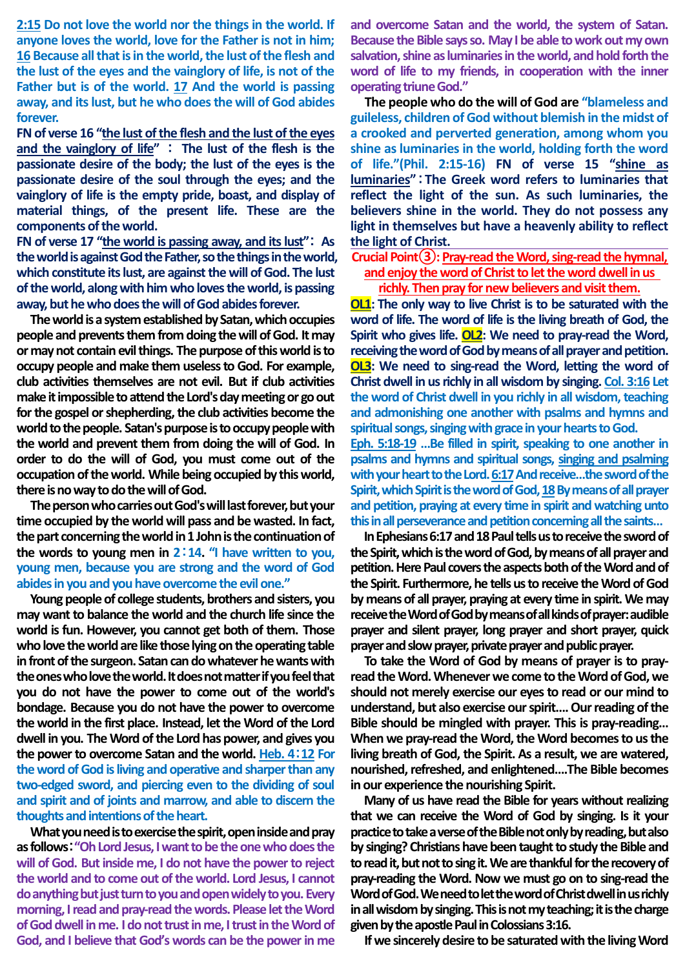**2:15 Do not love the world nor the things in the world. If anyone loves the world, love for the Father is not in him; 16 Because all that is in the world, the lust of the flesh and the lust of the eyes and the vainglory of life, is not of the Father but is of the world. 17 And the world is passing away, and its lust, but he who does the will of God abides forever.**

**FN of verse 16 "the lust of the flesh and the lust of the eyes and the vainglory of life"** : **The lust of the flesh is the passionate desire of the body; the lust of the eyes is the passionate desire of the soul through the eyes; and the vainglory of life is the empty pride, boast, and display of material things, of the present life. These are the components of the world.**

**FN of verse 17 "the world is passing away, and its lust"**: **As the world is against God the Father, so the things in the world, which constitute its lust, are against the will of God. The lust of the world, along with him who loves the world, is passing away, but he who doesthe will of God abides forever.**

**The world is a system established by Satan, which occupies people and prevents them from doing the will of God. It may or may not contain evil things. The purpose of this world is to occupy people and make them useless to God. For example, club activities themselves are not evil. But if club activities make it impossible to attend the Lord's day meeting or go out for the gospel or shepherding, the club activities become the world to the people. Satan's purpose is to occupy people with the world and prevent them from doing the will of God. In order to do the will of God, you must come out of the occupation of the world. While being occupied by this world,**  there is no way to do the will of God.

**The person who carries out God's will last forever, but your time occupied by the world will pass and be wasted. In fact, the part concerning the world in 1 John is the continuation of the words to young men in 2**:**14. "I have written to you, young men, because you are strong and the word of God abides in you and you have overcome the evil one."** 

**Young people of college students, brothers and sisters, you may want to balance the world and the church life since the world is fun. However, you cannot get both of them. Those who love the world are like those lying on the operating table in front of the surgeon. Satan can do whatever he wants with the ones who love the world. It does not matter if you feel that you do not have the power to come out of the world's bondage. Because you do not have the power to overcome the world in the first place. Instead, let the Word of the Lord dwell in you. The Word of the Lord has power, and gives you the power to overcome Satan and the world. Heb. 4**:**12 For the word of God is living and operative and sharper than any two-edged sword, and piercing even to the dividing of soul and spirit and of joints and marrow, and able to discern the thoughts and intentions of the heart.**

**What you need is to exercise the spirit, open inside and pray as follows**:**"Oh Lord Jesus, I want to be the one who does the will of God. But inside me, I do not have the power to reject the world and to come out of the world. Lord Jesus, I cannot do anything but just turn to you and open widely to you. Every morning, I read and pray-read the words. Please let the Word of God dwell in me. I do not trust in me, I trust in the Word of God, and I believe that God's words can be the power in me** 

**and overcome Satan and the world, the system of Satan. Because the Bible says so. May I be able to work out my own salvation, shine as luminaries in the world, and hold forth the word of life to my friends, in cooperation with the inner operating triune God."**

**The people who do the will of God are "blameless and guileless, children of God without blemish in the midst of a crooked and perverted generation, among whom you shine as luminaries in the world, holding forth the word of life."(Phil. 2:15-16) FN of verse 15 "shine as luminaries"**:**The Greek word refers to luminaries that reflect the light of the sun. As such luminaries, the believers shine in the world. They do not possess any light in themselves but have a heavenly ability to reflect the light of Christ.** 

# **Crucial Point③: Pray-read the Word, sing-read the hymnal, and enjoy the word of Christ to let the word dwell in us richly. Then pray for new believers and visit them.**

**OL1: The only way to live Christ is to be saturated with the word of life. The word of life is the living breath of God, the Spirit who gives life. OL2: We need to pray-read the Word, receiving the word of God by means of all prayer and petition. OL3: We need to sing-read the Word, letting the word of Christ dwell in us richly in all wisdom by singing. Col. 3:16 Let the word of Christ dwell in you richly in all wisdom, teaching and admonishing one another with psalms and hymns and spiritual songs, singing with grace in your hearts to God. Eph. 5:18-19 …Be filled in spirit, speaking to one another in psalms and hymns and spiritual songs, singing and psalming** with your heart to the Lord. 6:17 And receive...the sword of the **Spirit, which Spirit is the word of God, 18By means of all prayer and petition, praying at every time in spirit and watching unto** 

**In Ephesians 6:17 and 18 Paul tells us to receive the sword of the Spirit, which is the word of God, by means of all prayer and petition. Here Paul covers the aspects both of the Word and of the Spirit. Furthermore, he tells us to receive the Word of God by means of all prayer, praying at every time in spirit. We may receive the Word of God by means of all kinds of prayer: audible prayer and silent prayer, long prayer and short prayer, quick prayer and slow prayer, private prayer and public prayer.**

**this in all perseverance and petition concerning all the saints…**

**To take the Word of God by means of prayer is to prayread the Word. Whenever we come to the Word of God, we should not merely exercise our eyes to read or our mind to understand, but also exercise our spirit…. Our reading of the Bible should be mingled with prayer. This is pray-reading…**  When we pray-read the Word, the Word becomes to us the **living breath of God, the Spirit. As a result, we are watered, nourished, refreshed, and enlightened….The Bible becomes in our experience the nourishing Spirit.**

**Many of us have read the Bible for years without realizing that we can receive the Word of God by singing. Is it your practice to take a verse of the Bible not only by reading, but also by singing? Christians have been taught to study the Bible and to read it, but not to sing it. We are thankful for the recovery of pray-reading the Word. Now we must go on to sing-read the Word of God. We need to letthe word of Christ dwell in us richly in all wisdom by singing. This is not my teaching; it is the charge given by the apostle Paul in Colossians 3:16.**

**If we sincerely desire to be saturated with the living Word**